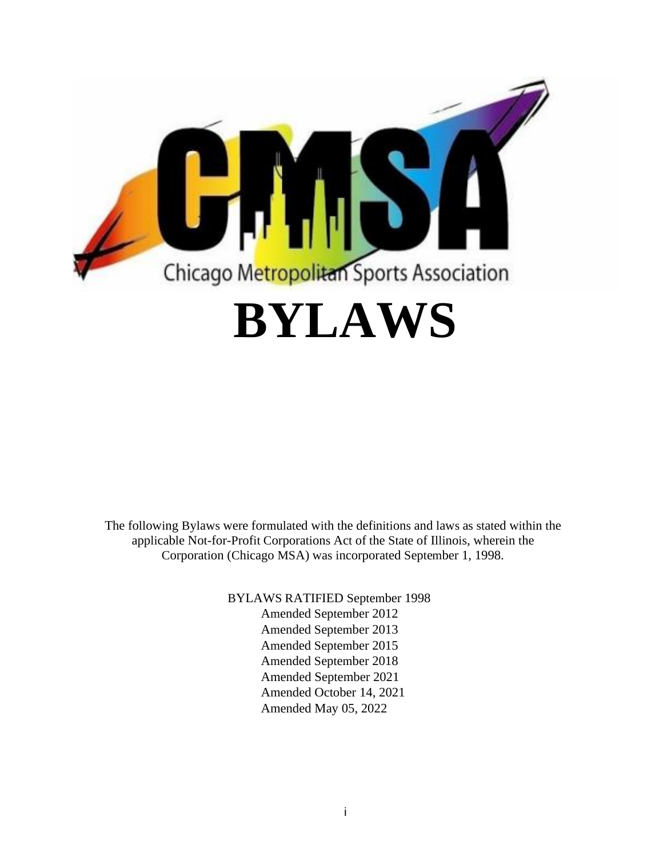

The following Bylaws were formulated with the definitions and laws as stated within the applicable Not-for-Profit Corporations Act of the State of Illinois, wherein the Corporation (Chicago MSA) was incorporated September 1, 1998.

> BYLAWS RATIFIED September 1998 Amended September 2012

Amended September 2013 Amended September 2015 Amended September 2018 Amended September 2021 Amended October 14, 2021 Amended May 05, 2022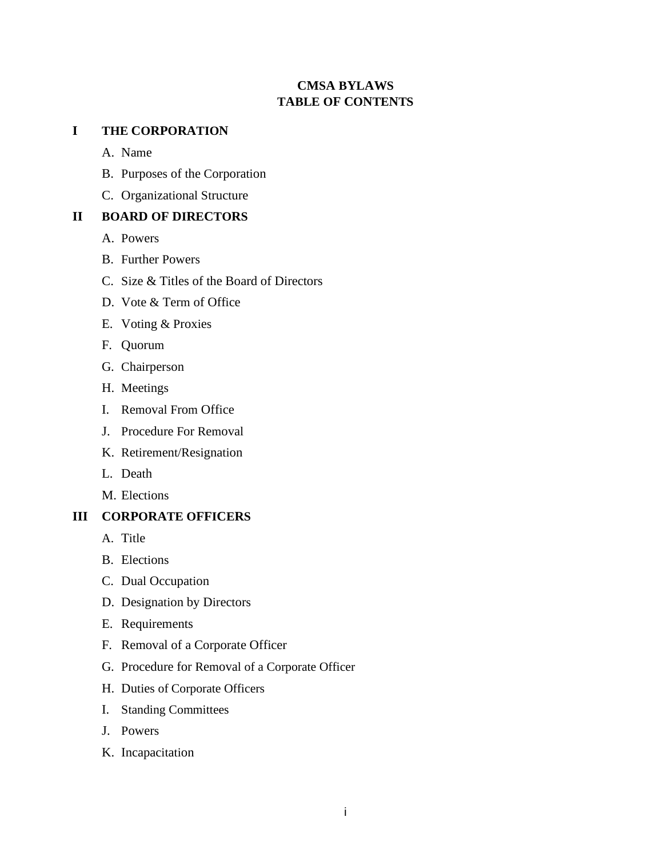# **CMSA BYLAWS TABLE OF CONTENTS**

# **I THE CORPORATION**

A. Name

- B. Purposes of the Corporation
- C. Organizational Structure

# **II BOARD OF DIRECTORS**

- A. Powers
- B. Further Powers
- C. Size & Titles of the Board of Directors
- D. Vote & Term of Office
- E. Voting & Proxies
- F. Quorum
- G. Chairperson
- H. Meetings
- I. Removal From Office
- J. Procedure For Removal
- K. Retirement/Resignation
- L. Death
- M. Elections

# **III CORPORATE OFFICERS**

- A. Title
- B. Elections
- C. Dual Occupation
- D. Designation by Directors
- E. Requirements
- F. Removal of a Corporate Officer
- G. Procedure for Removal of a Corporate Officer
- H. Duties of Corporate Officers
- I. Standing Committees
- J. Powers
- K. Incapacitation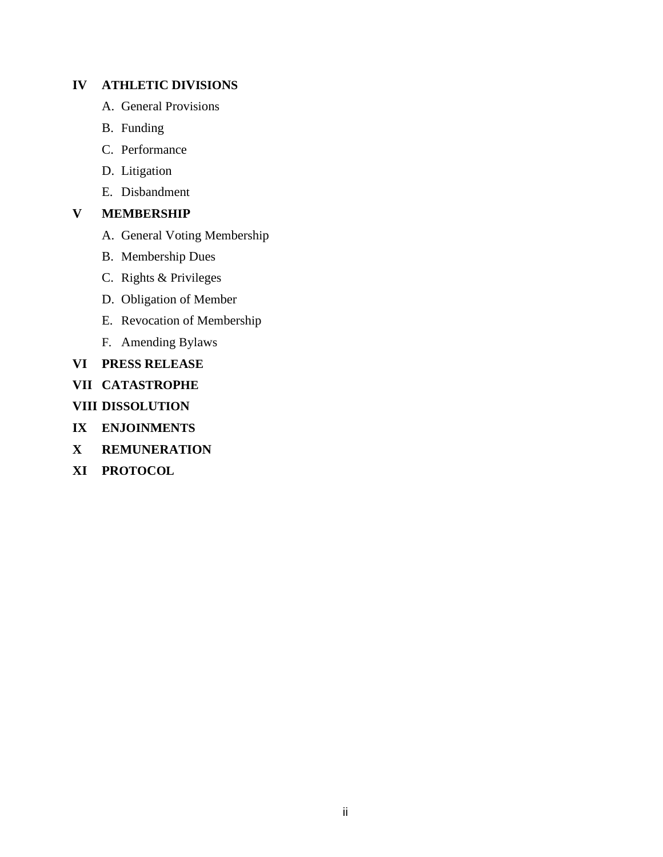# **IV ATHLETIC DIVISIONS**

- A. General Provisions
- B. Funding
- C. Performance
- D. Litigation
- E. Disbandment

# **V MEMBERSHIP**

- A. General Voting Membership
- B. Membership Dues
- C. Rights & Privileges
- D. Obligation of Member
- E. Revocation of Membership
- F. Amending Bylaws
- **VI PRESS RELEASE**
- **VII CATASTROPHE**

**VIII DISSOLUTION**

- **IX ENJOINMENTS**
- **X REMUNERATION**
- **XI PROTOCOL**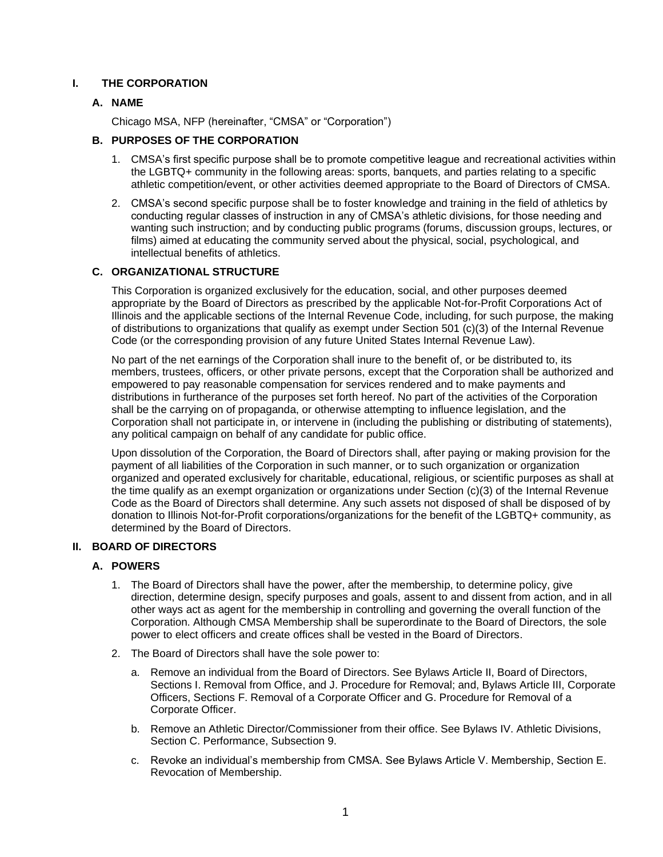# **I. THE CORPORATION**

# **A. NAME**

Chicago MSA, NFP (hereinafter, "CMSA" or "Corporation")

# **B. PURPOSES OF THE CORPORATION**

- 1. CMSA's first specific purpose shall be to promote competitive league and recreational activities within the LGBTQ+ community in the following areas: sports, banquets, and parties relating to a specific athletic competition/event, or other activities deemed appropriate to the Board of Directors of CMSA.
- 2. CMSA's second specific purpose shall be to foster knowledge and training in the field of athletics by conducting regular classes of instruction in any of CMSA's athletic divisions, for those needing and wanting such instruction; and by conducting public programs (forums, discussion groups, lectures, or films) aimed at educating the community served about the physical, social, psychological, and intellectual benefits of athletics.

## **C. ORGANIZATIONAL STRUCTURE**

This Corporation is organized exclusively for the education, social, and other purposes deemed appropriate by the Board of Directors as prescribed by the applicable Not-for-Profit Corporations Act of Illinois and the applicable sections of the Internal Revenue Code, including, for such purpose, the making of distributions to organizations that qualify as exempt under Section 501 (c)(3) of the Internal Revenue Code (or the corresponding provision of any future United States Internal Revenue Law).

No part of the net earnings of the Corporation shall inure to the benefit of, or be distributed to, its members, trustees, officers, or other private persons, except that the Corporation shall be authorized and empowered to pay reasonable compensation for services rendered and to make payments and distributions in furtherance of the purposes set forth hereof. No part of the activities of the Corporation shall be the carrying on of propaganda, or otherwise attempting to influence legislation, and the Corporation shall not participate in, or intervene in (including the publishing or distributing of statements), any political campaign on behalf of any candidate for public office.

Upon dissolution of the Corporation, the Board of Directors shall, after paying or making provision for the payment of all liabilities of the Corporation in such manner, or to such organization or organization organized and operated exclusively for charitable, educational, religious, or scientific purposes as shall at the time qualify as an exempt organization or organizations under Section (c)(3) of the Internal Revenue Code as the Board of Directors shall determine. Any such assets not disposed of shall be disposed of by donation to Illinois Not-for-Profit corporations/organizations for the benefit of the LGBTQ+ community, as determined by the Board of Directors.

# **II. BOARD OF DIRECTORS**

# **A. POWERS**

- 1. The Board of Directors shall have the power, after the membership, to determine policy, give direction, determine design, specify purposes and goals, assent to and dissent from action, and in all other ways act as agent for the membership in controlling and governing the overall function of the Corporation. Although CMSA Membership shall be superordinate to the Board of Directors, the sole power to elect officers and create offices shall be vested in the Board of Directors.
- 2. The Board of Directors shall have the sole power to:
	- a. Remove an individual from the Board of Directors. See Bylaws Article II, Board of Directors, Sections I. Removal from Office, and J. Procedure for Removal; and, Bylaws Article III, Corporate Officers, Sections F. Removal of a Corporate Officer and G. Procedure for Removal of a Corporate Officer.
	- b. Remove an Athletic Director/Commissioner from their office. See Bylaws IV. Athletic Divisions, Section C. Performance, Subsection 9.
	- c. Revoke an individual's membership from CMSA. See Bylaws Article V. Membership, Section E. Revocation of Membership.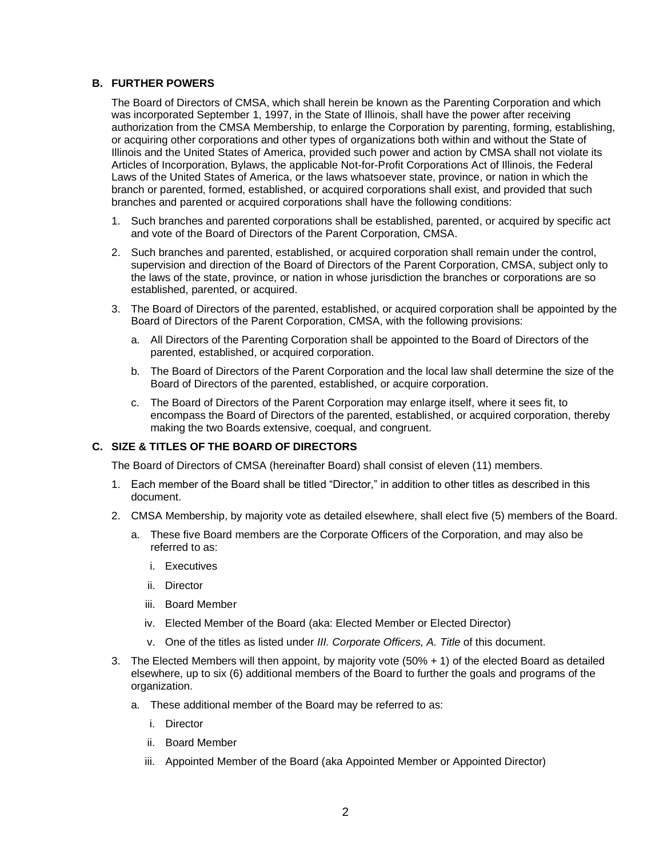# **B. FURTHER POWERS**

The Board of Directors of CMSA, which shall herein be known as the Parenting Corporation and which was incorporated September 1, 1997, in the State of Illinois, shall have the power after receiving authorization from the CMSA Membership, to enlarge the Corporation by parenting, forming, establishing, or acquiring other corporations and other types of organizations both within and without the State of Illinois and the United States of America, provided such power and action by CMSA shall not violate its Articles of Incorporation, Bylaws, the applicable Not-for-Profit Corporations Act of Illinois, the Federal Laws of the United States of America, or the laws whatsoever state, province, or nation in which the branch or parented, formed, established, or acquired corporations shall exist, and provided that such branches and parented or acquired corporations shall have the following conditions:

- 1. Such branches and parented corporations shall be established, parented, or acquired by specific act and vote of the Board of Directors of the Parent Corporation, CMSA.
- 2. Such branches and parented, established, or acquired corporation shall remain under the control, supervision and direction of the Board of Directors of the Parent Corporation, CMSA, subject only to the laws of the state, province, or nation in whose jurisdiction the branches or corporations are so established, parented, or acquired.
- 3. The Board of Directors of the parented, established, or acquired corporation shall be appointed by the Board of Directors of the Parent Corporation, CMSA, with the following provisions:
	- a. All Directors of the Parenting Corporation shall be appointed to the Board of Directors of the parented, established, or acquired corporation.
	- b. The Board of Directors of the Parent Corporation and the local law shall determine the size of the Board of Directors of the parented, established, or acquire corporation.
	- c. The Board of Directors of the Parent Corporation may enlarge itself, where it sees fit, to encompass the Board of Directors of the parented, established, or acquired corporation, thereby making the two Boards extensive, coequal, and congruent.

## **C. SIZE & TITLES OF THE BOARD OF DIRECTORS**

The Board of Directors of CMSA (hereinafter Board) shall consist of eleven (11) members.

- 1. Each member of the Board shall be titled "Director," in addition to other titles as described in this document.
- 2. CMSA Membership, by majority vote as detailed elsewhere, shall elect five (5) members of the Board.
	- a. These five Board members are the Corporate Officers of the Corporation, and may also be referred to as:
		- i. Executives
		- ii. Director
		- iii. Board Member
		- iv. Elected Member of the Board (aka: Elected Member or Elected Director)
		- v. One of the titles as listed under *III. Corporate Officers, A. Title* of this document.
- 3. The Elected Members will then appoint, by majority vote (50% + 1) of the elected Board as detailed elsewhere, up to six (6) additional members of the Board to further the goals and programs of the organization.
	- a. These additional member of the Board may be referred to as:
		- i. Director
		- ii. Board Member
		- iii. Appointed Member of the Board (aka Appointed Member or Appointed Director)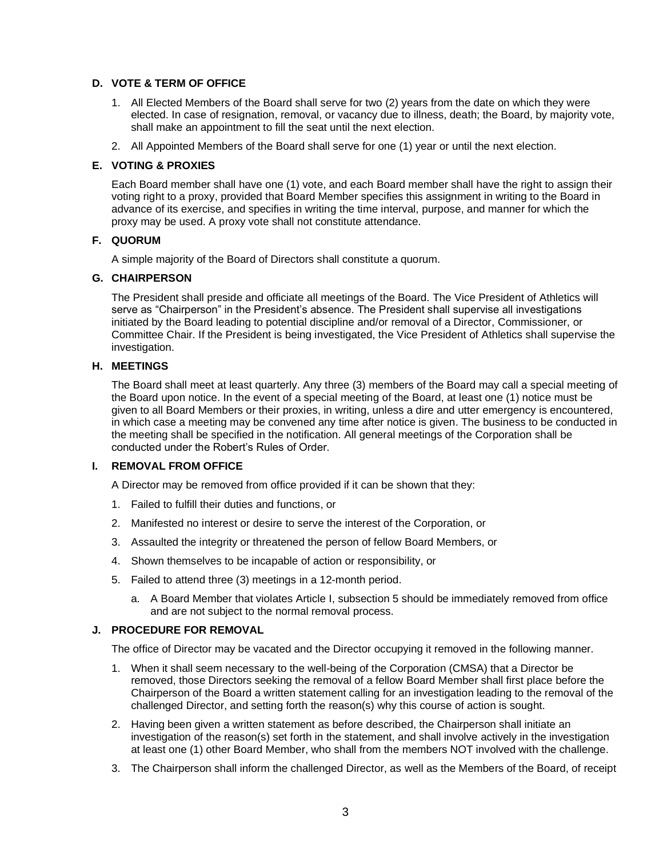## **D. VOTE & TERM OF OFFICE**

- 1. All Elected Members of the Board shall serve for two (2) years from the date on which they were elected. In case of resignation, removal, or vacancy due to illness, death; the Board, by majority vote, shall make an appointment to fill the seat until the next election.
- 2. All Appointed Members of the Board shall serve for one (1) year or until the next election.

## **E. VOTING & PROXIES**

Each Board member shall have one (1) vote, and each Board member shall have the right to assign their voting right to a proxy, provided that Board Member specifies this assignment in writing to the Board in advance of its exercise, and specifies in writing the time interval, purpose, and manner for which the proxy may be used. A proxy vote shall not constitute attendance.

## **F. QUORUM**

A simple majority of the Board of Directors shall constitute a quorum.

### **G. CHAIRPERSON**

The President shall preside and officiate all meetings of the Board. The Vice President of Athletics will serve as "Chairperson" in the President's absence. The President shall supervise all investigations initiated by the Board leading to potential discipline and/or removal of a Director, Commissioner, or Committee Chair. If the President is being investigated, the Vice President of Athletics shall supervise the investigation.

## **H. MEETINGS**

The Board shall meet at least quarterly. Any three (3) members of the Board may call a special meeting of the Board upon notice. In the event of a special meeting of the Board, at least one (1) notice must be given to all Board Members or their proxies, in writing, unless a dire and utter emergency is encountered, in which case a meeting may be convened any time after notice is given. The business to be conducted in the meeting shall be specified in the notification. All general meetings of the Corporation shall be conducted under the Robert's Rules of Order.

# **I. REMOVAL FROM OFFICE**

A Director may be removed from office provided if it can be shown that they:

- 1. Failed to fulfill their duties and functions, or
- 2. Manifested no interest or desire to serve the interest of the Corporation, or
- 3. Assaulted the integrity or threatened the person of fellow Board Members, or
- 4. Shown themselves to be incapable of action or responsibility, or
- 5. Failed to attend three (3) meetings in a 12-month period.
	- a. A Board Member that violates Article I, subsection 5 should be immediately removed from office and are not subject to the normal removal process.

### **J. PROCEDURE FOR REMOVAL**

The office of Director may be vacated and the Director occupying it removed in the following manner.

- 1. When it shall seem necessary to the well-being of the Corporation (CMSA) that a Director be removed, those Directors seeking the removal of a fellow Board Member shall first place before the Chairperson of the Board a written statement calling for an investigation leading to the removal of the challenged Director, and setting forth the reason(s) why this course of action is sought.
- 2. Having been given a written statement as before described, the Chairperson shall initiate an investigation of the reason(s) set forth in the statement, and shall involve actively in the investigation at least one (1) other Board Member, who shall from the members NOT involved with the challenge.
- 3. The Chairperson shall inform the challenged Director, as well as the Members of the Board, of receipt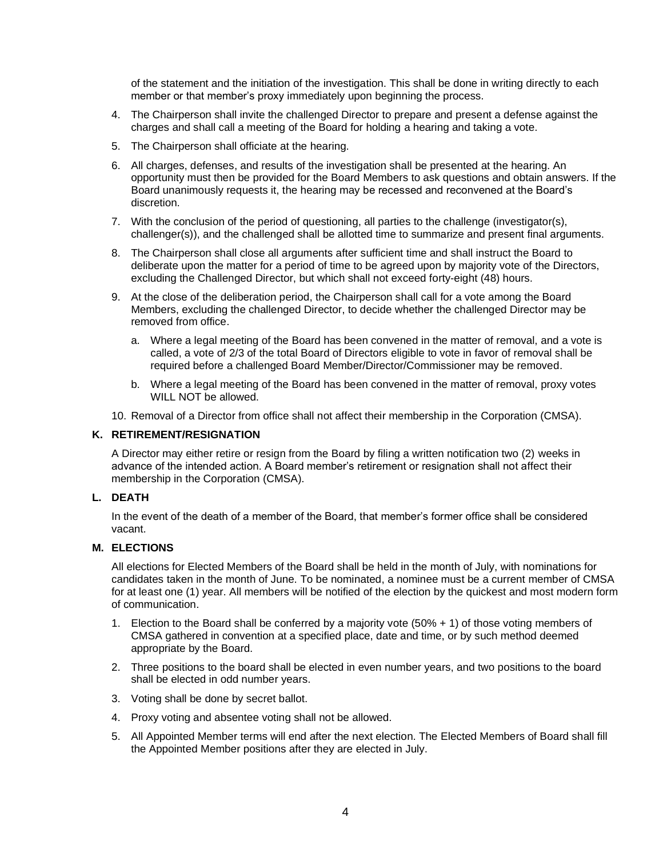of the statement and the initiation of the investigation. This shall be done in writing directly to each member or that member's proxy immediately upon beginning the process.

- 4. The Chairperson shall invite the challenged Director to prepare and present a defense against the charges and shall call a meeting of the Board for holding a hearing and taking a vote.
- 5. The Chairperson shall officiate at the hearing.
- 6. All charges, defenses, and results of the investigation shall be presented at the hearing. An opportunity must then be provided for the Board Members to ask questions and obtain answers. If the Board unanimously requests it, the hearing may be recessed and reconvened at the Board's discretion.
- 7. With the conclusion of the period of questioning, all parties to the challenge (investigator(s), challenger(s)), and the challenged shall be allotted time to summarize and present final arguments.
- 8. The Chairperson shall close all arguments after sufficient time and shall instruct the Board to deliberate upon the matter for a period of time to be agreed upon by majority vote of the Directors, excluding the Challenged Director, but which shall not exceed forty-eight (48) hours.
- 9. At the close of the deliberation period, the Chairperson shall call for a vote among the Board Members, excluding the challenged Director, to decide whether the challenged Director may be removed from office.
	- a. Where a legal meeting of the Board has been convened in the matter of removal, and a vote is called, a vote of 2/3 of the total Board of Directors eligible to vote in favor of removal shall be required before a challenged Board Member/Director/Commissioner may be removed.
	- b. Where a legal meeting of the Board has been convened in the matter of removal, proxy votes WILL NOT be allowed.
- 10. Removal of a Director from office shall not affect their membership in the Corporation (CMSA).

### **K. RETIREMENT/RESIGNATION**

A Director may either retire or resign from the Board by filing a written notification two (2) weeks in advance of the intended action. A Board member's retirement or resignation shall not affect their membership in the Corporation (CMSA).

### **L. DEATH**

In the event of the death of a member of the Board, that member's former office shall be considered vacant.

### **M. ELECTIONS**

All elections for Elected Members of the Board shall be held in the month of July, with nominations for candidates taken in the month of June. To be nominated, a nominee must be a current member of CMSA for at least one (1) year. All members will be notified of the election by the quickest and most modern form of communication.

- 1. Election to the Board shall be conferred by a majority vote (50% + 1) of those voting members of CMSA gathered in convention at a specified place, date and time, or by such method deemed appropriate by the Board.
- 2. Three positions to the board shall be elected in even number years, and two positions to the board shall be elected in odd number years.
- 3. Voting shall be done by secret ballot.
- 4. Proxy voting and absentee voting shall not be allowed.
- 5. All Appointed Member terms will end after the next election. The Elected Members of Board shall fill the Appointed Member positions after they are elected in July.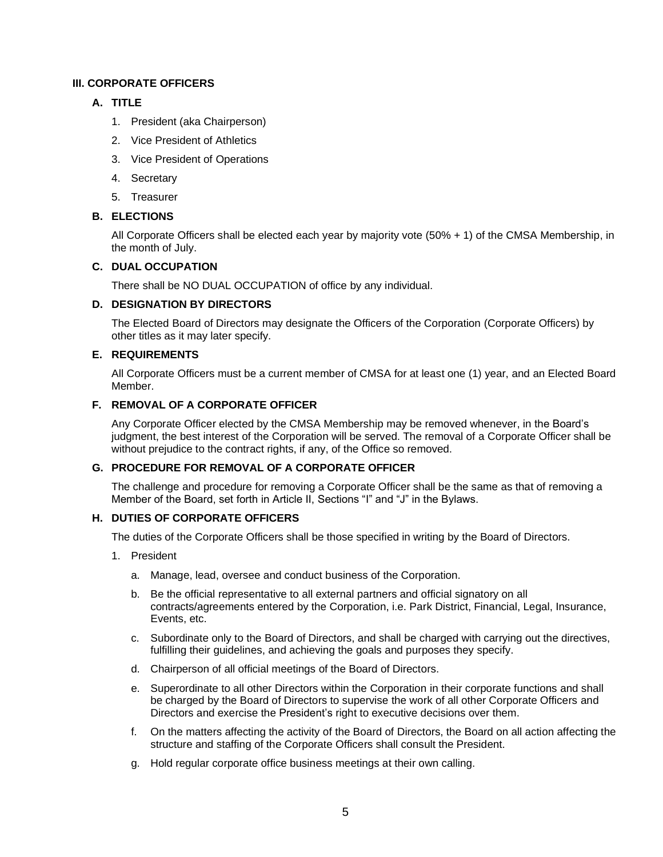# **III. CORPORATE OFFICERS**

## **A. TITLE**

- 1. President (aka Chairperson)
- 2. Vice President of Athletics
- 3. Vice President of Operations
- 4. Secretary
- 5. Treasurer

## **B. ELECTIONS**

All Corporate Officers shall be elected each year by majority vote (50% + 1) of the CMSA Membership, in the month of July.

### **C. DUAL OCCUPATION**

There shall be NO DUAL OCCUPATION of office by any individual.

## **D. DESIGNATION BY DIRECTORS**

The Elected Board of Directors may designate the Officers of the Corporation (Corporate Officers) by other titles as it may later specify.

## **E. REQUIREMENTS**

All Corporate Officers must be a current member of CMSA for at least one (1) year, and an Elected Board Member.

## **F. REMOVAL OF A CORPORATE OFFICER**

Any Corporate Officer elected by the CMSA Membership may be removed whenever, in the Board's judgment, the best interest of the Corporation will be served. The removal of a Corporate Officer shall be without prejudice to the contract rights, if any, of the Office so removed.

## **G. PROCEDURE FOR REMOVAL OF A CORPORATE OFFICER**

The challenge and procedure for removing a Corporate Officer shall be the same as that of removing a Member of the Board, set forth in Article II, Sections "I" and "J" in the Bylaws.

# **H. DUTIES OF CORPORATE OFFICERS**

The duties of the Corporate Officers shall be those specified in writing by the Board of Directors.

- 1. President
	- a. Manage, lead, oversee and conduct business of the Corporation.
	- b. Be the official representative to all external partners and official signatory on all contracts/agreements entered by the Corporation, i.e. Park District, Financial, Legal, Insurance, Events, etc.
	- c. Subordinate only to the Board of Directors, and shall be charged with carrying out the directives, fulfilling their guidelines, and achieving the goals and purposes they specify.
	- d. Chairperson of all official meetings of the Board of Directors.
	- e. Superordinate to all other Directors within the Corporation in their corporate functions and shall be charged by the Board of Directors to supervise the work of all other Corporate Officers and Directors and exercise the President's right to executive decisions over them.
	- f. On the matters affecting the activity of the Board of Directors, the Board on all action affecting the structure and staffing of the Corporate Officers shall consult the President.
	- g. Hold regular corporate office business meetings at their own calling.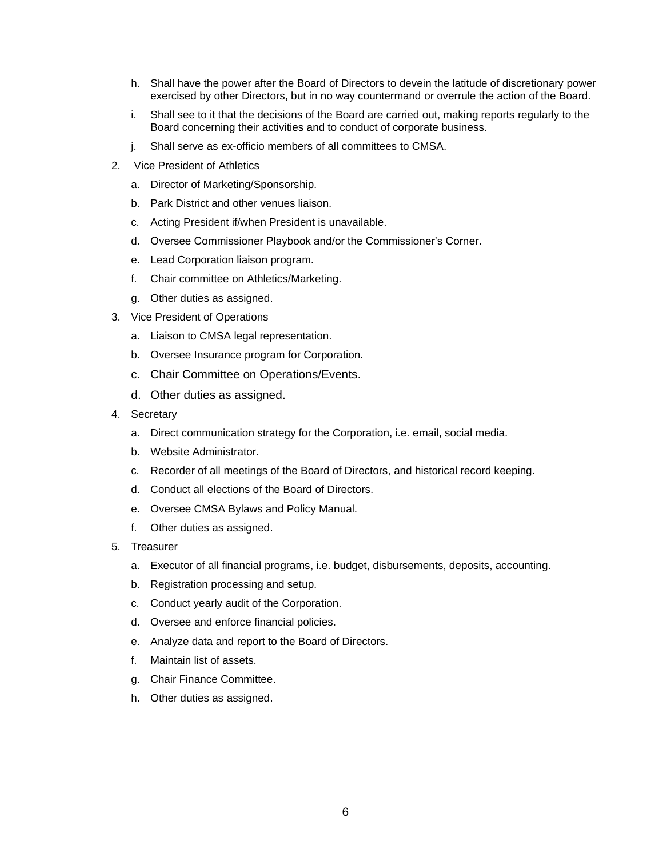- h. Shall have the power after the Board of Directors to devein the latitude of discretionary power exercised by other Directors, but in no way countermand or overrule the action of the Board.
- i. Shall see to it that the decisions of the Board are carried out, making reports regularly to the Board concerning their activities and to conduct of corporate business.
- j. Shall serve as ex-officio members of all committees to CMSA.
- 2. Vice President of Athletics
	- a. Director of Marketing/Sponsorship.
	- b. Park District and other venues liaison.
	- c. Acting President if/when President is unavailable.
	- d. Oversee Commissioner Playbook and/or the Commissioner's Corner.
	- e. Lead Corporation liaison program.
	- f. Chair committee on Athletics/Marketing.
	- g. Other duties as assigned.
- 3. Vice President of Operations
	- a. Liaison to CMSA legal representation.
	- b. Oversee Insurance program for Corporation.
	- c. Chair Committee on Operations/Events.
	- d. Other duties as assigned.
- 4. Secretary
	- a. Direct communication strategy for the Corporation, i.e. email, social media.
	- b. Website Administrator.
	- c. Recorder of all meetings of the Board of Directors, and historical record keeping.
	- d. Conduct all elections of the Board of Directors.
	- e. Oversee CMSA Bylaws and Policy Manual.
	- f. Other duties as assigned.
- 5. Treasurer
	- a. Executor of all financial programs, i.e. budget, disbursements, deposits, accounting.
	- b. Registration processing and setup.
	- c. Conduct yearly audit of the Corporation.
	- d. Oversee and enforce financial policies.
	- e. Analyze data and report to the Board of Directors.
	- f. Maintain list of assets.
	- g. Chair Finance Committee.
	- h. Other duties as assigned.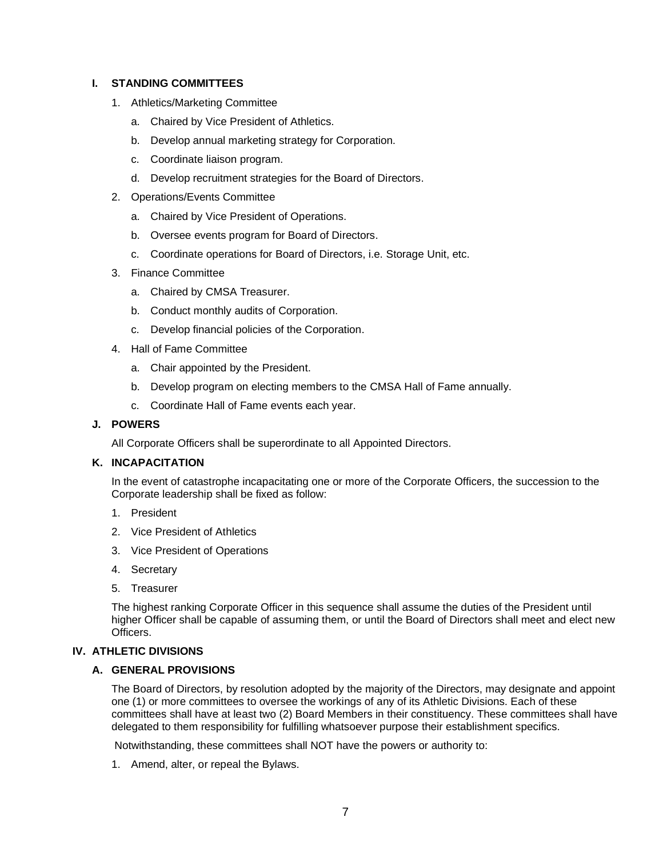## **I. STANDING COMMITTEES**

- 1. Athletics/Marketing Committee
	- a. Chaired by Vice President of Athletics.
	- b. Develop annual marketing strategy for Corporation.
	- c. Coordinate liaison program.
	- d. Develop recruitment strategies for the Board of Directors.
- 2. Operations/Events Committee
	- a. Chaired by Vice President of Operations.
	- b. Oversee events program for Board of Directors.
	- c. Coordinate operations for Board of Directors, i.e. Storage Unit, etc.
- 3. Finance Committee
	- a. Chaired by CMSA Treasurer.
	- b. Conduct monthly audits of Corporation.
	- c. Develop financial policies of the Corporation.
- 4. Hall of Fame Committee
	- a. Chair appointed by the President.
	- b. Develop program on electing members to the CMSA Hall of Fame annually.
	- c. Coordinate Hall of Fame events each year.

### **J. POWERS**

All Corporate Officers shall be superordinate to all Appointed Directors.

### **K. INCAPACITATION**

In the event of catastrophe incapacitating one or more of the Corporate Officers, the succession to the Corporate leadership shall be fixed as follow:

- 1. President
- 2. Vice President of Athletics
- 3. Vice President of Operations
- 4. Secretary
- 5. Treasurer

The highest ranking Corporate Officer in this sequence shall assume the duties of the President until higher Officer shall be capable of assuming them, or until the Board of Directors shall meet and elect new Officers.

### **IV. ATHLETIC DIVISIONS**

### **A. GENERAL PROVISIONS**

The Board of Directors, by resolution adopted by the majority of the Directors, may designate and appoint one (1) or more committees to oversee the workings of any of its Athletic Divisions. Each of these committees shall have at least two (2) Board Members in their constituency. These committees shall have delegated to them responsibility for fulfilling whatsoever purpose their establishment specifics.

Notwithstanding, these committees shall NOT have the powers or authority to:

1. Amend, alter, or repeal the Bylaws.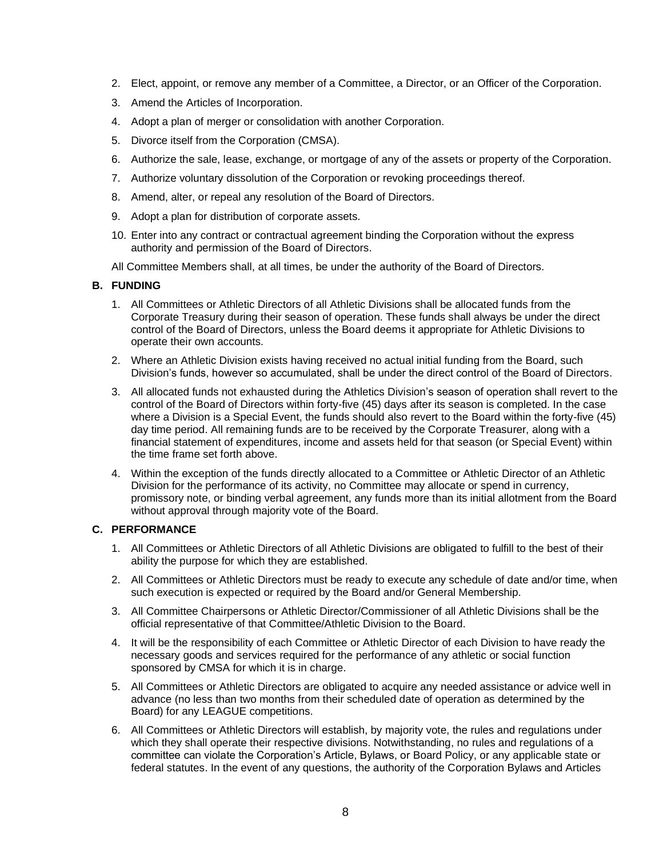- 2. Elect, appoint, or remove any member of a Committee, a Director, or an Officer of the Corporation.
- 3. Amend the Articles of Incorporation.
- 4. Adopt a plan of merger or consolidation with another Corporation.
- 5. Divorce itself from the Corporation (CMSA).
- 6. Authorize the sale, lease, exchange, or mortgage of any of the assets or property of the Corporation.
- 7. Authorize voluntary dissolution of the Corporation or revoking proceedings thereof.
- 8. Amend, alter, or repeal any resolution of the Board of Directors.
- 9. Adopt a plan for distribution of corporate assets.
- 10. Enter into any contract or contractual agreement binding the Corporation without the express authority and permission of the Board of Directors.
- All Committee Members shall, at all times, be under the authority of the Board of Directors.

## **B. FUNDING**

- 1. All Committees or Athletic Directors of all Athletic Divisions shall be allocated funds from the Corporate Treasury during their season of operation. These funds shall always be under the direct control of the Board of Directors, unless the Board deems it appropriate for Athletic Divisions to operate their own accounts.
- 2. Where an Athletic Division exists having received no actual initial funding from the Board, such Division's funds, however so accumulated, shall be under the direct control of the Board of Directors.
- 3. All allocated funds not exhausted during the Athletics Division's season of operation shall revert to the control of the Board of Directors within forty-five (45) days after its season is completed. In the case where a Division is a Special Event, the funds should also revert to the Board within the forty-five (45) day time period. All remaining funds are to be received by the Corporate Treasurer, along with a financial statement of expenditures, income and assets held for that season (or Special Event) within the time frame set forth above.
- 4. Within the exception of the funds directly allocated to a Committee or Athletic Director of an Athletic Division for the performance of its activity, no Committee may allocate or spend in currency, promissory note, or binding verbal agreement, any funds more than its initial allotment from the Board without approval through majority vote of the Board.

## **C. PERFORMANCE**

- 1. All Committees or Athletic Directors of all Athletic Divisions are obligated to fulfill to the best of their ability the purpose for which they are established.
- 2. All Committees or Athletic Directors must be ready to execute any schedule of date and/or time, when such execution is expected or required by the Board and/or General Membership.
- 3. All Committee Chairpersons or Athletic Director/Commissioner of all Athletic Divisions shall be the official representative of that Committee/Athletic Division to the Board.
- 4. It will be the responsibility of each Committee or Athletic Director of each Division to have ready the necessary goods and services required for the performance of any athletic or social function sponsored by CMSA for which it is in charge.
- 5. All Committees or Athletic Directors are obligated to acquire any needed assistance or advice well in advance (no less than two months from their scheduled date of operation as determined by the Board) for any LEAGUE competitions.
- 6. All Committees or Athletic Directors will establish, by majority vote, the rules and regulations under which they shall operate their respective divisions. Notwithstanding, no rules and regulations of a committee can violate the Corporation's Article, Bylaws, or Board Policy, or any applicable state or federal statutes. In the event of any questions, the authority of the Corporation Bylaws and Articles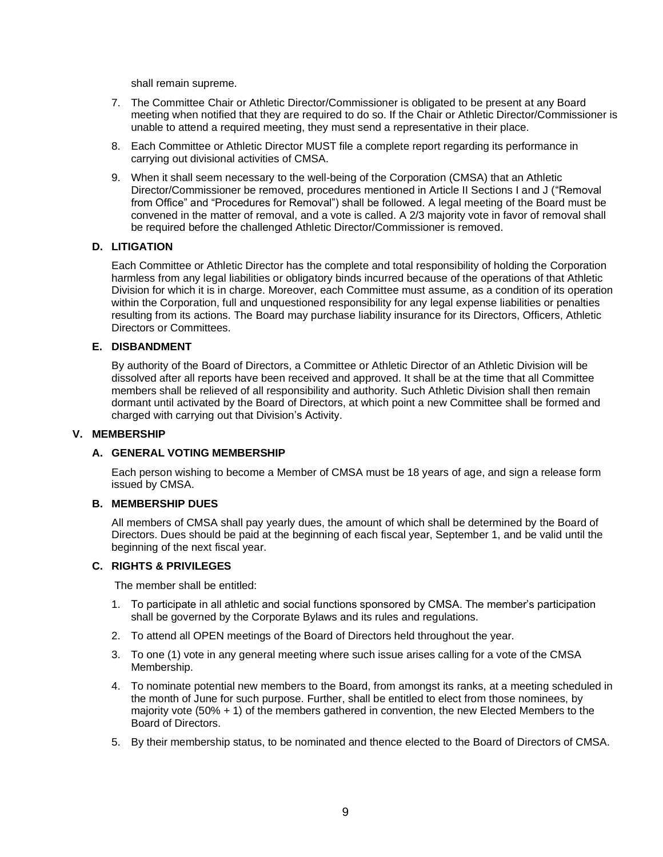shall remain supreme.

- 7. The Committee Chair or Athletic Director/Commissioner is obligated to be present at any Board meeting when notified that they are required to do so. If the Chair or Athletic Director/Commissioner is unable to attend a required meeting, they must send a representative in their place.
- 8. Each Committee or Athletic Director MUST file a complete report regarding its performance in carrying out divisional activities of CMSA.
- 9. When it shall seem necessary to the well-being of the Corporation (CMSA) that an Athletic Director/Commissioner be removed, procedures mentioned in Article II Sections I and J ("Removal from Office" and "Procedures for Removal") shall be followed. A legal meeting of the Board must be convened in the matter of removal, and a vote is called. A 2/3 majority vote in favor of removal shall be required before the challenged Athletic Director/Commissioner is removed.

### **D. LITIGATION**

Each Committee or Athletic Director has the complete and total responsibility of holding the Corporation harmless from any legal liabilities or obligatory binds incurred because of the operations of that Athletic Division for which it is in charge. Moreover, each Committee must assume, as a condition of its operation within the Corporation, full and unquestioned responsibility for any legal expense liabilities or penalties resulting from its actions. The Board may purchase liability insurance for its Directors, Officers, Athletic Directors or Committees.

### **E. DISBANDMENT**

By authority of the Board of Directors, a Committee or Athletic Director of an Athletic Division will be dissolved after all reports have been received and approved. It shall be at the time that all Committee members shall be relieved of all responsibility and authority. Such Athletic Division shall then remain dormant until activated by the Board of Directors, at which point a new Committee shall be formed and charged with carrying out that Division's Activity.

### **V. MEMBERSHIP**

### **A. GENERAL VOTING MEMBERSHIP**

Each person wishing to become a Member of CMSA must be 18 years of age, and sign a release form issued by CMSA.

### **B. MEMBERSHIP DUES**

All members of CMSA shall pay yearly dues, the amount of which shall be determined by the Board of Directors. Dues should be paid at the beginning of each fiscal year, September 1, and be valid until the beginning of the next fiscal year.

## **C. RIGHTS & PRIVILEGES**

The member shall be entitled:

- 1. To participate in all athletic and social functions sponsored by CMSA. The member's participation shall be governed by the Corporate Bylaws and its rules and regulations.
- 2. To attend all OPEN meetings of the Board of Directors held throughout the year.
- 3. To one (1) vote in any general meeting where such issue arises calling for a vote of the CMSA Membership.
- 4. To nominate potential new members to the Board, from amongst its ranks, at a meeting scheduled in the month of June for such purpose. Further, shall be entitled to elect from those nominees, by majority vote (50% + 1) of the members gathered in convention, the new Elected Members to the Board of Directors.
- 5. By their membership status, to be nominated and thence elected to the Board of Directors of CMSA.